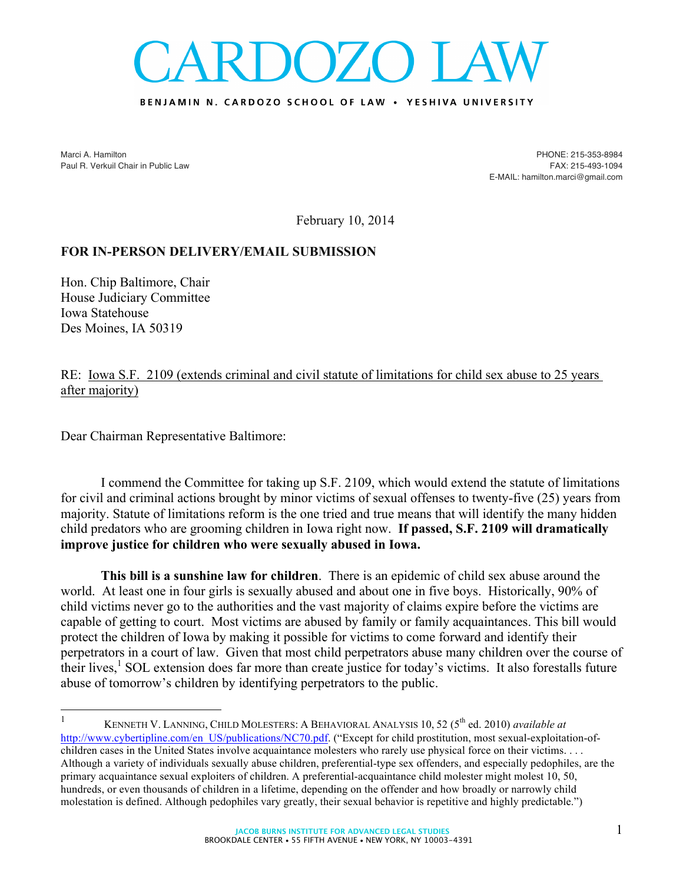## DOZO LA

## BENJAMIN N. CARDOZO SCHOOL OF LAW . YESHIVA UNIVERSITY

Marci A. Hamilton Paul R. Verkuil Chair in Public Law

PHONE: 215-353-8984 FAX: 215-493-1094 E-MAIL: hamilton.marci@gmail.com

February 10, 2014

## **FOR IN-PERSON DELIVERY/EMAIL SUBMISSION**

Hon. Chip Baltimore, Chair House Judiciary Committee Iowa Statehouse Des Moines, IA 50319

RE: Iowa S.F. 2109 (extends criminal and civil statute of limitations for child sex abuse to 25 years after majority)

Dear Chairman Representative Baltimore:

I commend the Committee for taking up S.F. 2109, which would extend the statute of limitations for civil and criminal actions brought by minor victims of sexual offenses to twenty-five (25) years from majority. Statute of limitations reform is the one tried and true means that will identify the many hidden child predators who are grooming children in Iowa right now. **If passed, S.F. 2109 will dramatically improve justice for children who were sexually abused in Iowa.** 

**This bill is a sunshine law for children**. There is an epidemic of child sex abuse around the world. At least one in four girls is sexually abused and about one in five boys. Historically, 90% of child victims never go to the authorities and the vast majority of claims expire before the victims are capable of getting to court. Most victims are abused by family or family acquaintances. This bill would protect the children of Iowa by making it possible for victims to come forward and identify their perpetrators in a court of law. Given that most child perpetrators abuse many children over the course of their lives, $<sup>1</sup>$  SOL extension does far more than create justice for today's victims. It also forestalls future</sup> abuse of tomorrow's children by identifying perpetrators to the public.

 <sup>1</sup> KENNETH V. LANNING, CHILD MOLESTERS: <sup>A</sup> BEHAVIORAL ANALYSIS 10, <sup>52</sup> (5th ed. 2010) *available at* http://www.cybertipline.com/en\_US/publications/NC70.pdf. ("Except for child prostitution, most sexual-exploitation-ofchildren cases in the United States involve acquaintance molesters who rarely use physical force on their victims. . . . Although a variety of individuals sexually abuse children, preferential-type sex offenders, and especially pedophiles, are the primary acquaintance sexual exploiters of children. A preferential-acquaintance child molester might molest 10, 50, hundreds, or even thousands of children in a lifetime, depending on the offender and how broadly or narrowly child molestation is defined. Although pedophiles vary greatly, their sexual behavior is repetitive and highly predictable.")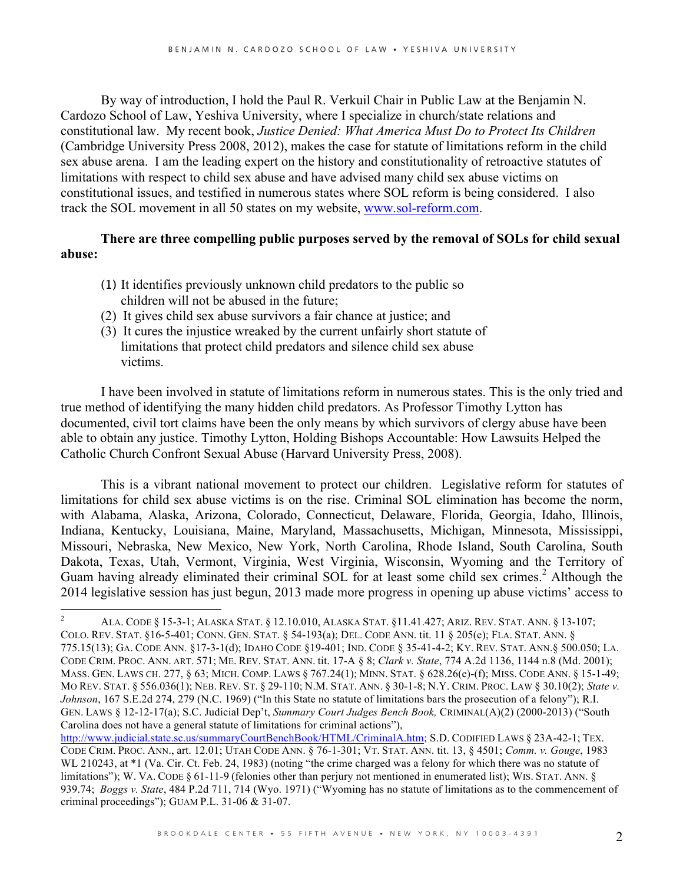By way of introduction, I hold the Paul R. Verkuil Chair in Public Law at the Benjamin N. Cardozo School of Law, Yeshiva University, where I specialize in church/state relations and constitutional law. My recent book, *Justice Denied: What America Must Do to Protect Its Children* (Cambridge University Press 2008, 2012), makes the case for statute of limitations reform in the child sex abuse arena. I am the leading expert on the history and constitutionality of retroactive statutes of limitations with respect to child sex abuse and have advised many child sex abuse victims on constitutional issues, and testified in numerous states where SOL reform is being considered. I also track the SOL movement in all 50 states on my website, www.sol-reform.com.

## **There are three compelling public purposes served by the removal of SOLs for child sexual abuse:**

- (1) It identifies previously unknown child predators to the public so children will not be abused in the future;
- (2) It gives child sex abuse survivors a fair chance at justice; and
- (3) It cures the injustice wreaked by the current unfairly short statute of limitations that protect child predators and silence child sex abuse victims.

I have been involved in statute of limitations reform in numerous states. This is the only tried and true method of identifying the many hidden child predators. As Professor Timothy Lytton has documented, civil tort claims have been the only means by which survivors of clergy abuse have been able to obtain any justice. Timothy Lytton, Holding Bishops Accountable: How Lawsuits Helped the Catholic Church Confront Sexual Abuse (Harvard University Press, 2008).

This is a vibrant national movement to protect our children. Legislative reform for statutes of limitations for child sex abuse victims is on the rise. Criminal SOL elimination has become the norm, with Alabama, Alaska, Arizona, Colorado, Connecticut, Delaware, Florida, Georgia, Idaho, Illinois, Indiana, Kentucky, Louisiana, Maine, Maryland, Massachusetts, Michigan, Minnesota, Mississippi, Missouri, Nebraska, New Mexico, New York, North Carolina, Rhode Island, South Carolina, South Dakota, Texas, Utah, Vermont, Virginia, West Virginia, Wisconsin, Wyoming and the Territory of Guam having already eliminated their criminal SOL for at least some child sex crimes.<sup>2</sup> Although the 2014 legislative session has just begun, 2013 made more progress in opening up abuse victims' access to

 <sup>2</sup> ALA. CODE § 15-3-1; ALASKA STAT. § 12.10.010, ALASKA STAT. §11.41.427; ARIZ. REV. STAT. ANN. § 13-107; COLO. REV. STAT. §16-5-401; CONN. GEN. STAT. § 54-193(a); DEL. CODE ANN. tit. 11 § 205(e); FLA. STAT. ANN. § 775.15(13); GA. CODE ANN. §17-3-1(d); IDAHO CODE §19-401; IND. CODE § 35-41-4-2; KY. REV. STAT. ANN.§ 500.050; LA. CODE CRIM. PROC. ANN. ART. 571; ME. REV. STAT. ANN. tit. 17-A § 8; *Clark v. State*, 774 A.2d 1136, 1144 n.8 (Md. 2001); MASS. GEN. LAWS CH. 277, § 63; MICH. COMP. LAWS § 767.24(1); MINN. STAT. § 628.26(e)-(f); MISS. CODE ANN. § 15-1-49; MO REV. STAT. § 556.036(1); NEB. REV. ST. § 29-110; N.M. STAT. ANN. § 30-1-8; N.Y. CRIM. PROC. LAW § 30.10(2); *State v. Johnson*, 167 S.E.2d 274, 279 (N.C. 1969) ("In this State no statute of limitations bars the prosecution of a felony"); R.I. GEN. LAWS § 12-12-17(a); S.C. Judicial Dep't, *Summary Court Judges Bench Book,* CRIMINAL(A)(2) (2000-2013) ("South Carolina does not have a general statute of limitations for criminal actions"),

http://www.judicial.state.sc.us/summaryCourtBenchBook/HTML/CriminalA.htm; S.D. CODIFIED LAWS § 23A-42-1; TEX. CODE CRIM. PROC. ANN., art. 12.01; UTAH CODE ANN. § 76-1-301; VT. STAT. ANN. tit. 13, § 4501; *Comm. v. Gouge*, 1983 WL 210243, at  $*1$  (Va. Cir. Ct. Feb. 24, 1983) (noting "the crime charged was a felony for which there was no statute of limitations"); W. VA. CODE § 61-11-9 (felonies other than perjury not mentioned in enumerated list); WIS. STAT. ANN. § 939.74; *Boggs v. State*, 484 P.2d 711, 714 (Wyo. 1971) ("Wyoming has no statute of limitations as to the commencement of criminal proceedings"); GUAM P.L. 31-06 & 31-07.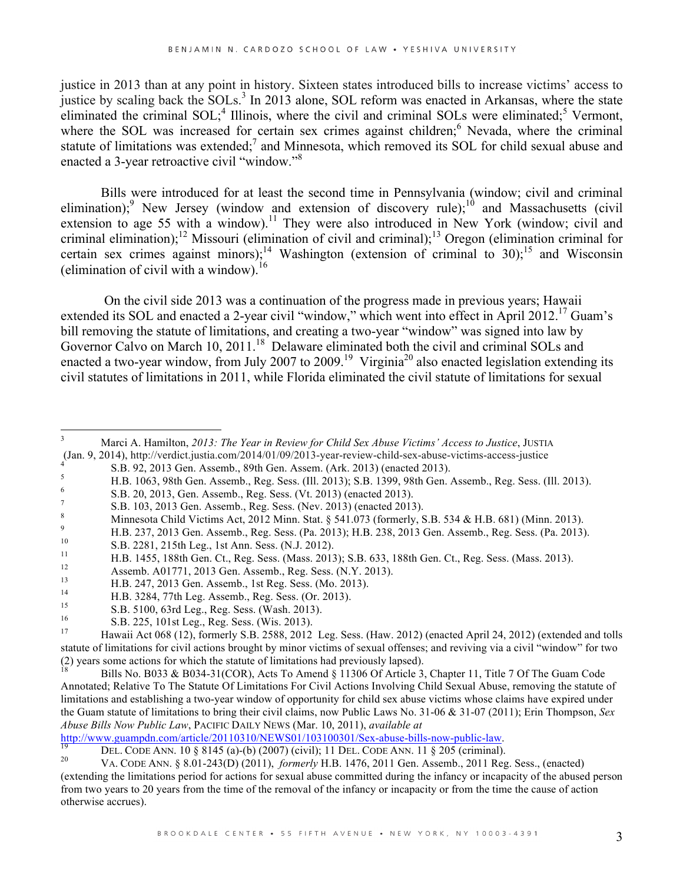justice in 2013 than at any point in history. Sixteen states introduced bills to increase victims' access to justice by scaling back the SOLs.<sup>3</sup> In 2013 alone, SOL reform was enacted in Arkansas, where the state eliminated the criminal  $SOL;$ <sup>4</sup> Illinois, where the civil and criminal SOLs were eliminated;<sup>5</sup> Vermont, where the SOL was increased for certain sex crimes against children;<sup>6</sup> Nevada, where the criminal statute of limitations was extended;<sup>7</sup> and Minnesota, which removed its SOL for child sexual abuse and enacted a 3-year retroactive civil "window."<sup>8</sup>

Bills were introduced for at least the second time in Pennsylvania (window; civil and criminal elimination);<sup>9</sup> New Jersey (window and extension of discovery rule);<sup>10</sup> and Massachusetts (civil extension to age 55 with a window).<sup>11</sup> They were also introduced in New York (window; civil and criminal elimination);<sup>12</sup> Missouri (elimination of civil and criminal);<sup>13</sup> Oregon (elimination criminal for certain sex crimes against minors);<sup>14</sup> Washington (extension of criminal to 30);<sup>15</sup> and Wisconsin (elimination of civil with a window).<sup>16</sup>

On the civil side 2013 was a continuation of the progress made in previous years; Hawaii extended its SOL and enacted a 2-year civil "window," which went into effect in April 2012.<sup>17</sup> Guam's bill removing the statute of limitations, and creating a two-year "window" was signed into law by Governor Calvo on March 10, 2011.<sup>18</sup> Delaware eliminated both the civil and criminal SOLs and enacted a two-year window, from July 2007 to 2009.<sup>19</sup> Virginia<sup>20</sup> also enacted legislation extending its civil statutes of limitations in 2011, while Florida eliminated the civil statute of limitations for sexual

- 
- (Jan. 9, 2014), http://verdict.justia.com/2014/01/09/2013-year-review-child-sex-abuse-victims-access-justice<br>
S.B. 92, 2013 Gen. Assemb., Reg. Sess. (III. 2013); 8.B. 1399, 98th Gen. Assemb., Reg. Sess. (III. 2013)<br>
F.B.
- 
- 
- 
- 
- 
- 
- 
- 
- 
- 
- 

http://www.guampdn.com/article/20110310/NEWS01/103100301/Sex-abuse-bills-now-public-law.<br>
DEL. CODE ANN. 10 § 8145 (a)-(b) (2007) (civil); 11 DEL. CODE ANN. 11 § 205 (criminal).<br>
VA. CODE ANN. § 8.01-243(D) (2011), *former* 

<sup>&</sup>lt;sup>3</sup> Marci A. Hamilton, *2013: The Year in Review for Child Sex Abuse Victims' Access to Justice*, JUSTIA (Jan. 9, 2014), http://verdict.justia.com/2014/01/09/2013-year-review-child-sex-abuse-victims-access-justice

statute of limitations for civil actions brought by minor victims of sexual offenses; and reviving via a civil "window" for two (2) years some actions for which the statute of limitations had previously lapsed).<br><sup>18</sup> Bills No. B033 & B034-31(COR), Acts To Amend § 11306 Of Article 3, Chapter 11, Title 7 Of The Guam Code

Annotated; Relative To The Statute Of Limitations For Civil Actions Involving Child Sexual Abuse, removing the statute of limitations and establishing a two-year window of opportunity for child sex abuse victims whose claims have expired under the Guam statute of limitations to bring their civil claims, now Public Laws No. 31-06 & 31-07 (2011); Erin Thompson, *Sex Abuse Bills Now Public Law*, PACIFIC DAILY NEWS (Mar. 10, 2011), *available at* 

<sup>(</sup>extending the limitations period for actions for sexual abuse committed during the infancy or incapacity of the abused person from two years to 20 years from the time of the removal of the infancy or incapacity or from the time the cause of action otherwise accrues).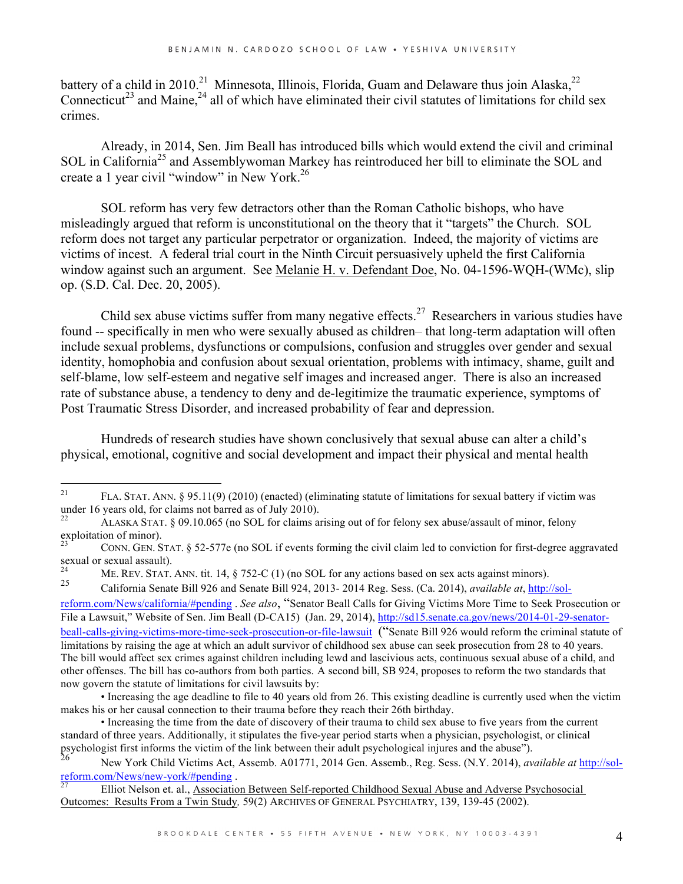battery of a child in 2010.<sup>21</sup> Minnesota, Illinois, Florida, Guam and Delaware thus join Alaska,<sup>22</sup> Connecticut<sup>23</sup> and Maine,<sup>24</sup> all of which have eliminated their civil statutes of limitations for child sex crimes.

Already, in 2014, Sen. Jim Beall has introduced bills which would extend the civil and criminal SOL in California<sup>25</sup> and Assemblywoman Markey has reintroduced her bill to eliminate the SOL and create a 1 year civil "window" in New York.26

SOL reform has very few detractors other than the Roman Catholic bishops, who have misleadingly argued that reform is unconstitutional on the theory that it "targets" the Church. SOL reform does not target any particular perpetrator or organization. Indeed, the majority of victims are victims of incest. A federal trial court in the Ninth Circuit persuasively upheld the first California window against such an argument. See Melanie H. v. Defendant Doe, No. 04-1596-WQH-(WMc), slip op. (S.D. Cal. Dec. 20, 2005).

Child sex abuse victims suffer from many negative effects.<sup>27</sup> Researchers in various studies have found -- specifically in men who were sexually abused as children– that long-term adaptation will often include sexual problems, dysfunctions or compulsions, confusion and struggles over gender and sexual identity, homophobia and confusion about sexual orientation, problems with intimacy, shame, guilt and self-blame, low self-esteem and negative self images and increased anger. There is also an increased rate of substance abuse, a tendency to deny and de-legitimize the traumatic experience, symptoms of Post Traumatic Stress Disorder, and increased probability of fear and depression.

Hundreds of research studies have shown conclusively that sexual abuse can alter a child's physical, emotional, cognitive and social development and impact their physical and mental health

<sup>&</sup>lt;sup>21</sup> FLA. STAT. ANN. § 95.11(9) (2010) (enacted) (eliminating statute of limitations for sexual battery if victim was under 16 years old, for claims not barred as of July 2010).

ALASKA STAT. § 09.10.065 (no SOL for claims arising out of for felony sex abuse/assault of minor, felony exploitation of minor).

<sup>23</sup> CONN. GEN. STAT. § 52-577e (no SOL if events forming the civil claim led to conviction for first-degree aggravated sexual or sexual assault).

<sup>&</sup>lt;sup>24</sup> ME. REV. STAT. ANN. tit. 14,  $\S$  752-C (1) (no SOL for any actions based on sex acts against minors).<br><sup>25</sup> California Sangta Pill 226 and Sangta Pill 224, 2012, 2014 Page Sang (Gr. 2014). 2014 and the detector

<sup>25</sup> California Senate Bill 926 and Senate Bill 924, 2013- 2014 Reg. Sess. (Ca. 2014), *available at*, http://sol-

reform.com/News/california/#pending . *See also*, "Senator Beall Calls for Giving Victims More Time to Seek Prosecution or File a Lawsuit," Website of Sen. Jim Beall (D-CA15) (Jan. 29, 2014), http://sd15.senate.ca.gov/news/2014-01-29-senatorbeall-calls-giving-victims-more-time-seek-prosecution-or-file-lawsuit ("Senate Bill 926 would reform the criminal statute of limitations by raising the age at which an adult survivor of childhood sex abuse can seek prosecution from 28 to 40 years. The bill would affect sex crimes against children including lewd and lascivious acts, continuous sexual abuse of a child, and other offenses. The bill has co-authors from both parties. A second bill, SB 924, proposes to reform the two standards that now govern the statute of limitations for civil lawsuits by:

<sup>•</sup> Increasing the age deadline to file to 40 years old from 26. This existing deadline is currently used when the victim makes his or her causal connection to their trauma before they reach their 26th birthday.

<sup>•</sup> Increasing the time from the date of discovery of their trauma to child sex abuse to five years from the current standard of three years. Additionally, it stipulates the five-year period starts when a physician, psychologist, or clinical psychologist first informs the victim of the link between their adult psychological injures and t

<sup>&</sup>lt;sup>26</sup> New York Child Victims Act, Assemb. A01771, 2014 Gen. Assemb., Reg. Sess. (N.Y. 2014), *available at* http://sol-<br>reform.com/News/new-york/#pending.

Elliot Nelson et. al., Association Between Self-reported Childhood Sexual Abuse and Adverse Psychosocial Outcomes: Results From a Twin Study*,* 59(2) ARCHIVES OF GENERAL PSYCHIATRY, 139, 139-45 (2002).